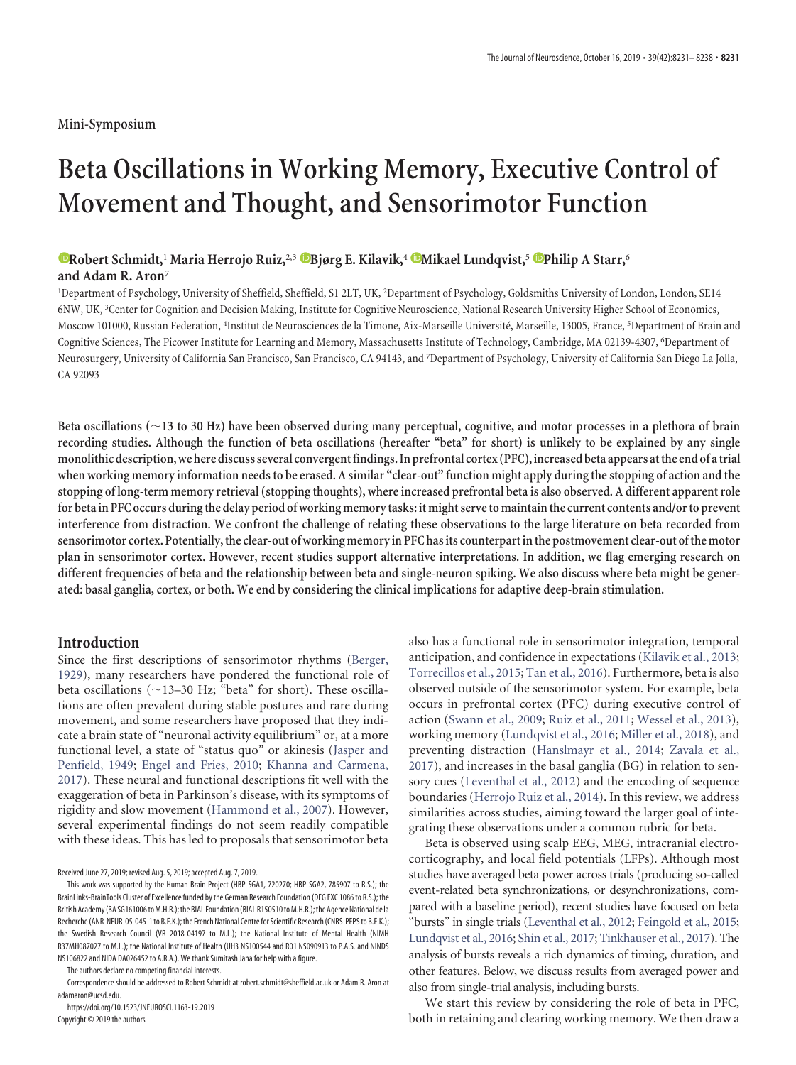# **Beta Oscillations in Working Memory, Executive Control of Movement and Thought, and Sensorimotor Function**

## **XRobert Schmidt,**<sup>1</sup> Maria Herrojo Ruiz,<sup>2,3</sup> **B**jørg E. Kilavik,<sup>4</sup> Mikael Lundqvist,<sup>5</sup> Philip A Starr,<sup>6</sup> **and Adam R. Aron**<sup>7</sup>

<sup>1</sup>Department of Psychology, University of Sheffield, Sheffield, S1 2LT, UK, <sup>2</sup>Department of Psychology, Goldsmiths University of London, London, SE14 6NW, UK,<sup>3</sup>Center for Cognition and Decision Making, Institute for Cognitive Neuroscience, National Research University Higher School of Economics, Moscow 101000, Russian Federation, <sup>4</sup>Institut de Neurosciences de la Timone, Aix-Marseille Université, Marseille, 13005, France, <sup>5</sup>Department of Brain and Cognitive Sciences, The Picower Institute for Learning and Memory, Massachusetts Institute of Technology, Cambridge, MA 02139-4307, <sup>6</sup> Department of Neurosurgery, University of California San Francisco, San Francisco, CA 94143, and <sup>7</sup> Department of Psychology, University of California San Diego La Jolla, CA 92093

**Beta oscillations (**-**13 to 30 Hz) have been observed during many perceptual, cognitive, and motor processes in a plethora of brain recording studies. Although the function of beta oscillations (hereafter "beta" for short) is unlikely to be explained by any single monolithic description,we here discuss several convergentfindings. In prefrontal cortex (PFC),increased beta appears atthe end of atrial when working memory information needs to be erased. A similar "clear-out" function might apply during the stopping of action and the stopping of long-term memory retrieval (stopping thoughts), where increased prefrontal beta is also observed. A different apparent role** for beta in PFC occurs during the delay period of working memory tasks: it might serve to maintain the current contents and/or to prevent **interference from distraction. We confront the challenge of relating these observations to the large literature on beta recorded from sensorimotor cortex. Potentially,the clear-out of working memory in PFC has its counterpart inthe postmovement clear-out ofthe motor plan in sensorimotor cortex. However, recent studies support alternative interpretations. In addition, we flag emerging research on different frequencies of beta and the relationship between beta and single-neuron spiking. We also discuss where beta might be generated: basal ganglia, cortex, or both. We end by considering the clinical implications for adaptive deep-brain stimulation.**

## **Introduction**

Since the first descriptions of sensorimotor rhythms [\(Berger,](#page-5-0) [1929\)](#page-5-0), many researchers have pondered the functional role of beta oscillations (~13–30 Hz; "beta" for short). These oscillations are often prevalent during stable postures and rare during movement, and some researchers have proposed that they indicate a brain state of "neuronal activity equilibrium" or, at a more functional level, a state of "status quo" or akinesis [\(Jasper and](#page-6-0) [Penfield, 1949;](#page-6-0) [Engel and Fries, 2010;](#page-5-1) [Khanna and Carmena,](#page-6-1) [2017\)](#page-6-1). These neural and functional descriptions fit well with the exaggeration of beta in Parkinson's disease, with its symptoms of rigidity and slow movement [\(Hammond et al., 2007\)](#page-6-2). However, several experimental findings do not seem readily compatible with these ideas. This has led to proposals that sensorimotor beta

Received June 27, 2019; revised Aug. 5, 2019; accepted Aug. 7, 2019.

This work was supported by the Human Brain Project (HBP-SGA1, 720270; HBP-SGA2, 785907 to R.S.); the BrainLinks-BrainTools Cluster of Excellence funded by the German Research Foundation (DFG EXC 1086 to R.S.); the British Academy (BA SG161006 to M.H.R.); the BIAL Foundation (BIAL R150510 to M.H.R.); the Agence National de la Recherche (ANR-NEUR-05-045-1 to B.E.K.); the French National Centre for Scientific Research (CNRS-PEPS to B.E.K.); the Swedish Research Council (VR 2018-04197 to M.L.); the National Institute of Mental Health (NIMH R37MH087027 to M.L.); the National Institute of Health (UH3 NS100544 and R01 NS090913 to P.A.S. and NINDS NS106822 and NIDA DA026452 to A.R.A.). We thank Sumitash Jana for help with a figure.

The authors declare no competing financial interests.

Correspondence should be addressed to Robert Schmidt a[t robert.schmidt@sheffield.ac.uk](mailto:robert.schmidt@sheffield.ac.uk) or Adam R. Aron at [adamaron@ucsd.edu.](mailto:adamaron@ucsd.edu)

https://doi.org/10.1523/JNEUROSCI.1163-19.2019 Copyright © 2019 the authors

also has a functional role in sensorimotor integration, temporal anticipation, and confidence in expectations [\(Kilavik et al., 2013;](#page-6-3) [Torrecillos et al., 2015;](#page-7-0) [Tan et al., 2016\)](#page-7-1). Furthermore, beta is also observed outside of the sensorimotor system. For example, beta occurs in prefrontal cortex (PFC) during executive control of action [\(Swann et al., 2009;](#page-7-2) [Ruiz et al., 2011;](#page-6-4) [Wessel et al., 2013\)](#page-7-3), working memory [\(Lundqvist et al., 2016;](#page-6-5) [Miller et al., 2018\)](#page-6-6), and preventing distraction [\(Hanslmayr et al., 2014;](#page-6-7) [Zavala et al.,](#page-7-4) [2017\)](#page-7-4), and increases in the basal ganglia (BG) in relation to sensory cues [\(Leventhal et al., 2012\)](#page-6-8) and the encoding of sequence boundaries [\(Herrojo Ruiz et al., 2014\)](#page-6-9). In this review, we address similarities across studies, aiming toward the larger goal of integrating these observations under a common rubric for beta.

Beta is observed using scalp EEG, MEG, intracranial electrocorticography, and local field potentials (LFPs). Although most studies have averaged beta power across trials (producing so-called event-related beta synchronizations, or desynchronizations, compared with a baseline period), recent studies have focused on beta "bursts" in single trials [\(Leventhal et al., 2012;](#page-6-8) [Feingold et al., 2015;](#page-6-10) [Lundqvist et al., 2016;](#page-6-5) [Shin et al., 2017;](#page-7-5) [Tinkhauser et al., 2017\)](#page-7-6). The analysis of bursts reveals a rich dynamics of timing, duration, and other features. Below, we discuss results from averaged power and also from single-trial analysis, including bursts.

We start this review by considering the role of beta in PFC, both in retaining and clearing working memory. We then draw a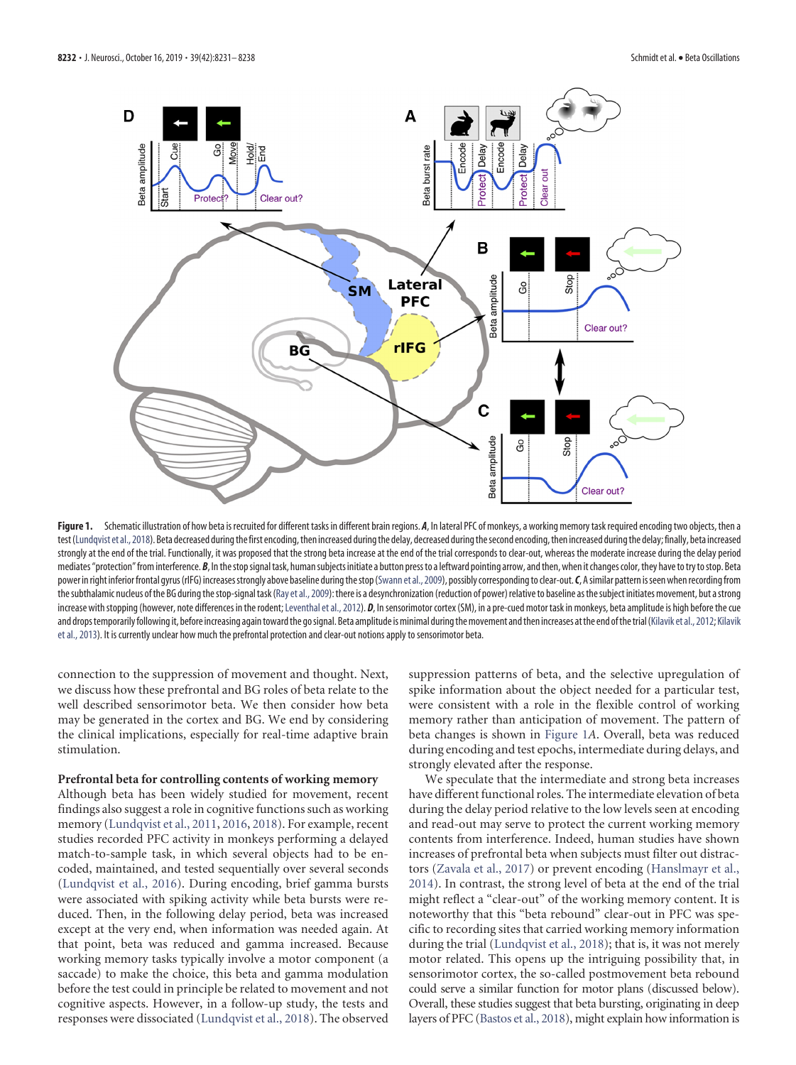

<span id="page-1-0"></span>Figure 1. Schematic illustration of how beta is recruited for different tasks in different brain regions. *A*, In lateral PFC of monkeys, a working memory task required encoding two objects, then a test [\(Lundqvist et al., 2018\)](#page-6-12). Beta decreased during the first encoding, then increased during the delay, decreased during the second encoding, then increased during the delay; finally, beta increased strongly at the end of the trial. Functionally, it was proposed that the strong beta increase at the end of the trial corresponds to clear-out, whereas the moderate increase during the delay period mediates "protection" from interference. *B*, In the stop signal task, human subjects initiate a button press to a leftward pointing arrow, and then, when it changes color, they have to try to stop. Beta power in right inferior frontal gyrus (rIFG) increases strongly above baseline during the stop [\(Swann et al., 2009](#page-7-2)), possibly corresponding to clear-out. C, A similar pattern is seen when recording from the subthalamic nucleus of the BG during the stop-signal task [\(Ray et al., 2009\)](#page-6-13): there is a desynchronization (reduction of power) relative to baseline as the subject initiates movement, but a strong increase with stopping (however, note differences in the rodent; Leventhal et al., 2012). *D*, In sensorimotor cortex (SM), in a pre-cued motor task in monkeys, beta amplitude is high before the cue and drops temporarily following it, before increasing again toward the go signal. Beta amplitude is minimal during the movement and then increases at the end of the trial [\(Kilavik et al., 2012;](#page-6-14) [Kilavik](#page-6-3) [et al., 2013\)](#page-6-3). It is currently unclear how much the prefrontal protection and clear-out notions apply to sensorimotor beta.

connection to the suppression of movement and thought. Next, we discuss how these prefrontal and BG roles of beta relate to the well described sensorimotor beta. We then consider how beta may be generated in the cortex and BG. We end by considering the clinical implications, especially for real-time adaptive brain stimulation.

#### **Prefrontal beta for controlling contents of working memory**

Although beta has been widely studied for movement, recent findings also suggest a role in cognitive functions such as working memory (Lundqvist et al., [2011,](#page-6-11) [2016,](#page-6-5) [2018\)](#page-6-12). For example, recent studies recorded PFC activity in monkeys performing a delayed match-to-sample task, in which several objects had to be encoded, maintained, and tested sequentially over several seconds [\(Lundqvist et al., 2016\)](#page-6-5). During encoding, brief gamma bursts were associated with spiking activity while beta bursts were reduced. Then, in the following delay period, beta was increased except at the very end, when information was needed again. At that point, beta was reduced and gamma increased. Because working memory tasks typically involve a motor component (a saccade) to make the choice, this beta and gamma modulation before the test could in principle be related to movement and not cognitive aspects. However, in a follow-up study, the tests and responses were dissociated [\(Lundqvist et al., 2018\)](#page-6-12). The observed suppression patterns of beta, and the selective upregulation of spike information about the object needed for a particular test, were consistent with a role in the flexible control of working memory rather than anticipation of movement. The pattern of beta changes is shown in [Figure 1](#page-1-0)*A*. Overall, beta was reduced during encoding and test epochs, intermediate during delays, and strongly elevated after the response.

We speculate that the intermediate and strong beta increases have different functional roles. The intermediate elevation of beta during the delay period relative to the low levels seen at encoding and read-out may serve to protect the current working memory contents from interference. Indeed, human studies have shown increases of prefrontal beta when subjects must filter out distractors [\(Zavala et al., 2017\)](#page-7-4) or prevent encoding [\(Hanslmayr et al.,](#page-6-7) [2014\)](#page-6-7). In contrast, the strong level of beta at the end of the trial might reflect a "clear-out" of the working memory content. It is noteworthy that this "beta rebound" clear-out in PFC was specific to recording sites that carried working memory information during the trial [\(Lundqvist et al., 2018\)](#page-6-12); that is, it was not merely motor related. This opens up the intriguing possibility that, in sensorimotor cortex, the so-called postmovement beta rebound could serve a similar function for motor plans (discussed below). Overall, these studies suggest that beta bursting, originating in deep layers of PFC [\(Bastos et al., 2018\)](#page-5-2), might explain how information is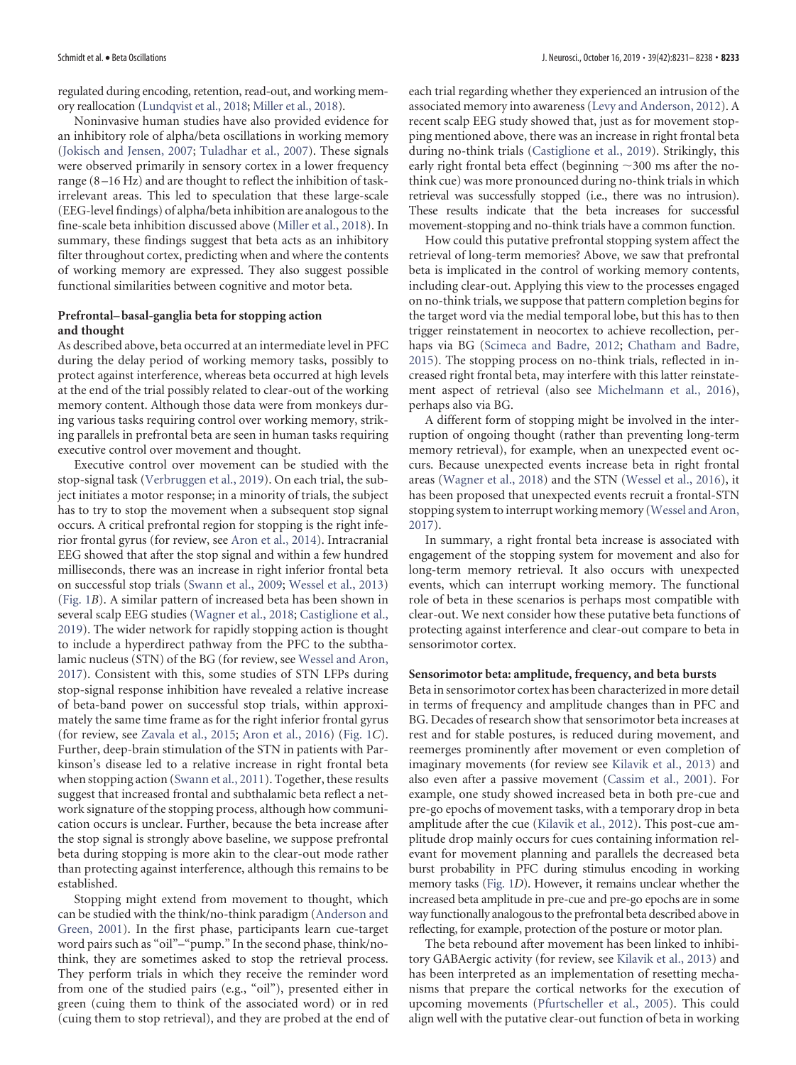regulated during encoding, retention, read-out, and working memory reallocation [\(Lundqvist et al., 2018;](#page-6-12) [Miller et al., 2018\)](#page-6-6).

Noninvasive human studies have also provided evidence for an inhibitory role of alpha/beta oscillations in working memory [\(Jokisch and Jensen, 2007;](#page-6-15) [Tuladhar et al., 2007\)](#page-7-7). These signals were observed primarily in sensory cortex in a lower frequency range (8 –16 Hz) and are thought to reflect the inhibition of taskirrelevant areas. This led to speculation that these large-scale (EEG-level findings) of alpha/beta inhibition are analogous to the fine-scale beta inhibition discussed above [\(Miller et al., 2018\)](#page-6-6). In summary, these findings suggest that beta acts as an inhibitory filter throughout cortex, predicting when and where the contents of working memory are expressed. They also suggest possible functional similarities between cognitive and motor beta.

## **Prefrontal– basal-ganglia beta for stopping action and thought**

As described above, beta occurred at an intermediate level in PFC during the delay period of working memory tasks, possibly to protect against interference, whereas beta occurred at high levels at the end of the trial possibly related to clear-out of the working memory content. Although those data were from monkeys during various tasks requiring control over working memory, striking parallels in prefrontal beta are seen in human tasks requiring executive control over movement and thought.

Executive control over movement can be studied with the stop-signal task [\(Verbruggen et al., 2019\)](#page-7-8). On each trial, the subject initiates a motor response; in a minority of trials, the subject has to try to stop the movement when a subsequent stop signal occurs. A critical prefrontal region for stopping is the right inferior frontal gyrus (for review, see [Aron et al., 2014\)](#page-5-3). Intracranial EEG showed that after the stop signal and within a few hundred milliseconds, there was an increase in right inferior frontal beta on successful stop trials [\(Swann et al., 2009;](#page-7-2) [Wessel et al., 2013\)](#page-7-3) [\(Fig. 1](#page-1-0)*B*). A similar pattern of increased beta has been shown in several scalp EEG studies [\(Wagner et al., 2018;](#page-7-9) [Castiglione et al.,](#page-5-4) [2019\)](#page-5-4). The wider network for rapidly stopping action is thought to include a hyperdirect pathway from the PFC to the subthalamic nucleus (STN) of the BG (for review, see [Wessel and Aron,](#page-7-10) [2017\)](#page-7-10). Consistent with this, some studies of STN LFPs during stop-signal response inhibition have revealed a relative increase of beta-band power on successful stop trials, within approximately the same time frame as for the right inferior frontal gyrus (for review, see [Zavala et al., 2015;](#page-7-11) [Aron et al., 2016\)](#page-5-5) [\(Fig. 1](#page-1-0)*C*). Further, deep-brain stimulation of the STN in patients with Parkinson's disease led to a relative increase in right frontal beta when stopping action [\(Swann et al., 2011\)](#page-7-12). Together, these results suggest that increased frontal and subthalamic beta reflect a network signature of the stopping process, although how communication occurs is unclear. Further, because the beta increase after the stop signal is strongly above baseline, we suppose prefrontal beta during stopping is more akin to the clear-out mode rather than protecting against interference, although this remains to be established.

Stopping might extend from movement to thought, which can be studied with the think/no-think paradigm [\(Anderson and](#page-5-6) [Green, 2001\)](#page-5-6). In the first phase, participants learn cue-target word pairs such as "oil"–"pump." In the second phase, think/nothink, they are sometimes asked to stop the retrieval process. They perform trials in which they receive the reminder word from one of the studied pairs (e.g., "oil"), presented either in green (cuing them to think of the associated word) or in red (cuing them to stop retrieval), and they are probed at the end of each trial regarding whether they experienced an intrusion of the associated memory into awareness [\(Levy and Anderson, 2012\)](#page-6-16). A recent scalp EEG study showed that, just as for movement stopping mentioned above, there was an increase in right frontal beta during no-think trials [\(Castiglione et al., 2019\)](#page-5-4). Strikingly, this early right frontal beta effect (beginning  $\sim$ 300 ms after the nothink cue) was more pronounced during no-think trials in which retrieval was successfully stopped (i.e., there was no intrusion). These results indicate that the beta increases for successful movement-stopping and no-think trials have a common function.

How could this putative prefrontal stopping system affect the retrieval of long-term memories? Above, we saw that prefrontal beta is implicated in the control of working memory contents, including clear-out. Applying this view to the processes engaged on no-think trials, we suppose that pattern completion begins for the target word via the medial temporal lobe, but this has to then trigger reinstatement in neocortex to achieve recollection, perhaps via BG [\(Scimeca and Badre, 2012;](#page-7-13) [Chatham and Badre,](#page-5-7) [2015\)](#page-5-7). The stopping process on no-think trials, reflected in increased right frontal beta, may interfere with this latter reinstatement aspect of retrieval (also see [Michelmann et al., 2016\)](#page-6-17), perhaps also via BG.

A different form of stopping might be involved in the interruption of ongoing thought (rather than preventing long-term memory retrieval), for example, when an unexpected event occurs. Because unexpected events increase beta in right frontal areas [\(Wagner et al., 2018\)](#page-7-9) and the STN [\(Wessel et al., 2016\)](#page-7-14), it has been proposed that unexpected events recruit a frontal-STN stopping system to interrupt working memory [\(Wessel and Aron,](#page-7-10) [2017\)](#page-7-10).

In summary, a right frontal beta increase is associated with engagement of the stopping system for movement and also for long-term memory retrieval. It also occurs with unexpected events, which can interrupt working memory. The functional role of beta in these scenarios is perhaps most compatible with clear-out. We next consider how these putative beta functions of protecting against interference and clear-out compare to beta in sensorimotor cortex.

#### **Sensorimotor beta: amplitude, frequency, and beta bursts**

Beta in sensorimotor cortex has been characterized in more detail in terms of frequency and amplitude changes than in PFC and BG. Decades of research show that sensorimotor beta increases at rest and for stable postures, is reduced during movement, and reemerges prominently after movement or even completion of imaginary movements (for review see [Kilavik et al., 2013\)](#page-6-3) and also even after a passive movement [\(Cassim et al., 2001\)](#page-5-8). For example, one study showed increased beta in both pre-cue and pre-go epochs of movement tasks, with a temporary drop in beta amplitude after the cue [\(Kilavik et al., 2012\)](#page-6-14). This post-cue amplitude drop mainly occurs for cues containing information relevant for movement planning and parallels the decreased beta burst probability in PFC during stimulus encoding in working memory tasks [\(Fig. 1](#page-1-0)*D*). However, it remains unclear whether the increased beta amplitude in pre-cue and pre-go epochs are in some way functionally analogous to the prefrontal beta described above in reflecting, for example, protection of the posture or motor plan.

The beta rebound after movement has been linked to inhibitory GABAergic activity (for review, see [Kilavik et al., 2013\)](#page-6-3) and has been interpreted as an implementation of resetting mechanisms that prepare the cortical networks for the execution of upcoming movements [\(Pfurtscheller et al., 2005\)](#page-6-18). This could align well with the putative clear-out function of beta in working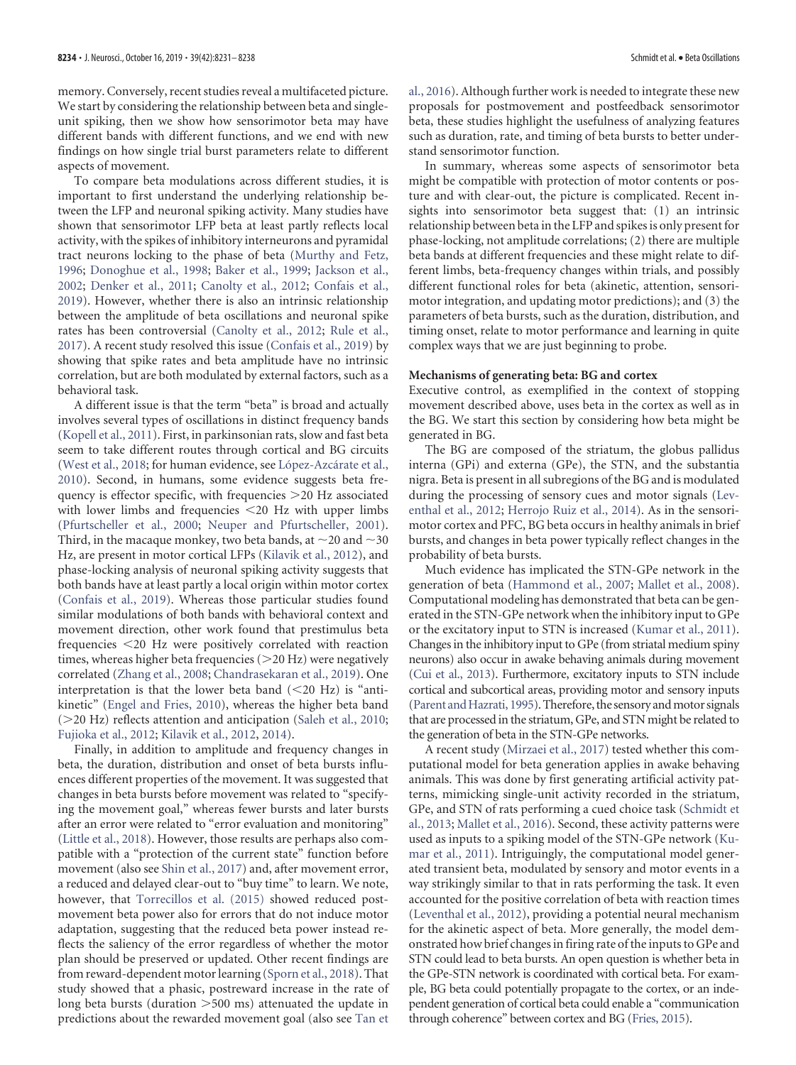memory. Conversely, recent studies reveal a multifaceted picture. We start by considering the relationship between beta and singleunit spiking, then we show how sensorimotor beta may have different bands with different functions, and we end with new findings on how single trial burst parameters relate to different aspects of movement.

To compare beta modulations across different studies, it is important to first understand the underlying relationship between the LFP and neuronal spiking activity. Many studies have shown that sensorimotor LFP beta at least partly reflects local activity, with the spikes of inhibitory interneurons and pyramidal tract neurons locking to the phase of beta [\(Murthy and Fetz,](#page-6-19) [1996;](#page-6-19) [Donoghue et al., 1998;](#page-5-9) [Baker et al., 1999;](#page-5-10) [Jackson et al.,](#page-6-20) [2002;](#page-6-20) [Denker et al., 2011;](#page-5-11) [Canolty et al., 2012;](#page-5-12) [Confais et al.,](#page-5-13) [2019\)](#page-5-13). However, whether there is also an intrinsic relationship between the amplitude of beta oscillations and neuronal spike rates has been controversial [\(Canolty et al., 2012;](#page-5-12) [Rule et al.,](#page-6-21) [2017\)](#page-6-21). A recent study resolved this issue [\(Confais et al., 2019\)](#page-5-13) by showing that spike rates and beta amplitude have no intrinsic correlation, but are both modulated by external factors, such as a behavioral task.

A different issue is that the term "beta" is broad and actually involves several types of oscillations in distinct frequency bands [\(Kopell et al., 2011\)](#page-6-22). First, in parkinsonian rats, slow and fast beta seem to take different routes through cortical and BG circuits [\(West et al., 2018;](#page-7-15) for human evidence, see López-Azcárate et al., [2010\)](#page-6-23). Second, in humans, some evidence suggests beta frequency is effector specific, with frequencies 20 Hz associated with lower limbs and frequencies <20 Hz with upper limbs [\(Pfurtscheller et al., 2000;](#page-6-24) [Neuper and Pfurtscheller, 2001\)](#page-6-25). Third, in the macaque monkey, two beta bands, at  ${\sim}20$  and  ${\sim}30$ Hz, are present in motor cortical LFPs [\(Kilavik et al., 2012\)](#page-6-14), and phase-locking analysis of neuronal spiking activity suggests that both bands have at least partly a local origin within motor cortex [\(Confais et al., 2019\)](#page-5-13). Whereas those particular studies found similar modulations of both bands with behavioral context and movement direction, other work found that prestimulus beta frequencies 20 Hz were positively correlated with reaction times, whereas higher beta frequencies  $(>20$  Hz) were negatively correlated [\(Zhang et al., 2008;](#page-7-16) [Chandrasekaran et al., 2019\)](#page-5-14). One interpretation is that the lower beta band  $(<20$  Hz) is "antikinetic" [\(Engel and Fries, 2010\)](#page-5-1), whereas the higher beta band  $(>20$  Hz) reflects attention and anticipation [\(Saleh et al., 2010;](#page-6-26) [Fujioka et al., 2012;](#page-6-27) [Kilavik et al., 2012,](#page-6-14) [2014\)](#page-6-28).

Finally, in addition to amplitude and frequency changes in beta, the duration, distribution and onset of beta bursts influences different properties of the movement. It was suggested that changes in beta bursts before movement was related to "specifying the movement goal," whereas fewer bursts and later bursts after an error were related to "error evaluation and monitoring" [\(Little et al., 2018\)](#page-6-29). However, those results are perhaps also compatible with a "protection of the current state" function before movement (also see [Shin et al., 2017\)](#page-7-5) and, after movement error, a reduced and delayed clear-out to "buy time" to learn. We note, however, that [Torrecillos et al. \(2015\)](#page-7-0) showed reduced postmovement beta power also for errors that do not induce motor adaptation, suggesting that the reduced beta power instead reflects the saliency of the error regardless of whether the motor plan should be preserved or updated. Other recent findings are from reward-dependent motor learning [\(Sporn et al., 2018\)](#page-7-17). That study showed that a phasic, postreward increase in the rate of long beta bursts (duration  $>500$  ms) attenuated the update in predictions about the rewarded movement goal (also see [Tan et](#page-7-1)

[al., 2016\)](#page-7-1). Although further work is needed to integrate these new proposals for postmovement and postfeedback sensorimotor beta, these studies highlight the usefulness of analyzing features such as duration, rate, and timing of beta bursts to better understand sensorimotor function.

In summary, whereas some aspects of sensorimotor beta might be compatible with protection of motor contents or posture and with clear-out, the picture is complicated. Recent insights into sensorimotor beta suggest that: (1) an intrinsic relationship between beta in the LFP and spikes is only present for phase-locking, not amplitude correlations; (2) there are multiple beta bands at different frequencies and these might relate to different limbs, beta-frequency changes within trials, and possibly different functional roles for beta (akinetic, attention, sensorimotor integration, and updating motor predictions); and (3) the parameters of beta bursts, such as the duration, distribution, and timing onset, relate to motor performance and learning in quite complex ways that we are just beginning to probe.

#### **Mechanisms of generating beta: BG and cortex**

Executive control, as exemplified in the context of stopping movement described above, uses beta in the cortex as well as in the BG. We start this section by considering how beta might be generated in BG.

The BG are composed of the striatum, the globus pallidus interna (GPi) and externa (GPe), the STN, and the substantia nigra. Beta is present in all subregions of the BG and is modulated during the processing of sensory cues and motor signals [\(Lev](#page-6-8)[enthal et al., 2012;](#page-6-8) [Herrojo Ruiz et al., 2014\)](#page-6-9). As in the sensorimotor cortex and PFC, BG beta occurs in healthy animals in brief bursts, and changes in beta power typically reflect changes in the probability of beta bursts.

Much evidence has implicated the STN-GPe network in the generation of beta [\(Hammond et al., 2007;](#page-6-2) [Mallet et al., 2008\)](#page-6-30). Computational modeling has demonstrated that beta can be generated in the STN-GPe network when the inhibitory input to GPe or the excitatory input to STN is increased [\(Kumar et al., 2011\)](#page-6-31). Changes in the inhibitory input to GPe (from striatal medium spiny neurons) also occur in awake behaving animals during movement [\(Cui et al., 2013\)](#page-5-15). Furthermore, excitatory inputs to STN include cortical and subcortical areas, providing motor and sensory inputs (Parent and Hazrati, 1995). Therefore, the sensory and motor signals that are processed in the striatum, GPe, and STN might be related to the generation of beta in the STN-GPe networks.

A recent study [\(Mirzaei et al., 2017\)](#page-6-33) tested whether this computational model for beta generation applies in awake behaving animals. This was done by first generating artificial activity patterns, mimicking single-unit activity recorded in the striatum, GPe, and STN of rats performing a cued choice task [\(Schmidt et](#page-7-18) [al., 2013;](#page-7-18) [Mallet et al., 2016\)](#page-6-34). Second, these activity patterns were used as inputs to a spiking model of the STN-GPe network [\(Ku](#page-6-31)[mar et al., 2011\)](#page-6-31). Intriguingly, the computational model generated transient beta, modulated by sensory and motor events in a way strikingly similar to that in rats performing the task. It even accounted for the positive correlation of beta with reaction times [\(Leventhal et al., 2012\)](#page-6-8), providing a potential neural mechanism for the akinetic aspect of beta. More generally, the model demonstrated how brief changes in firing rate of the inputs to GPe and STN could lead to beta bursts. An open question is whether beta in the GPe-STN network is coordinated with cortical beta. For example, BG beta could potentially propagate to the cortex, or an independent generation of cortical beta could enable a "communication through coherence" between cortex and BG [\(Fries, 2015\)](#page-6-35).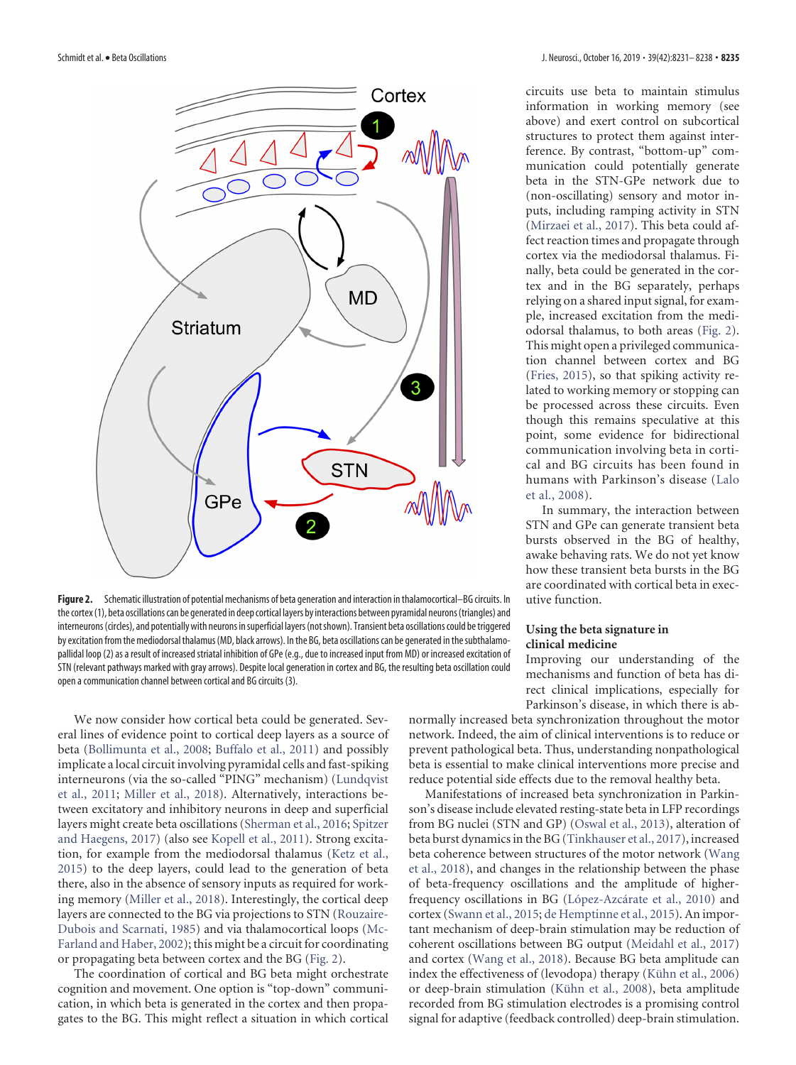

<span id="page-4-0"></span>**Figure 2.** Schematic illustration of potential mechanisms of beta generation and interaction in thalamocortical–BG circuits. In the cortex(1), beta oscillations can be generated in deep cortical layers by interactions between pyramidal neurons(triangles) and interneurons(circles), and potentially with neurons insuperficial layers(notshown). Transient beta oscillations could betriggered by excitation from the mediodorsal thalamus (MD, black arrows). In the BG, beta oscillations can be generated in the subthalamopallidal loop (2) as a result of increased striatal inhibition of GPe (e.g., due to increased input from MD) or increased excitation of STN (relevant pathways marked with gray arrows). Despite local generation in cortex and BG, the resulting beta oscillation could open a communication channel between cortical and BG circuits (3).

We now consider how cortical beta could be generated. Several lines of evidence point to cortical deep layers as a source of beta [\(Bollimunta et al., 2008;](#page-5-16) [Buffalo et al., 2011\)](#page-5-17) and possibly implicate a local circuit involving pyramidal cells and fast-spiking interneurons (via the so-called "PING" mechanism) [\(Lundqvist](#page-6-11) [et al., 2011;](#page-6-11) [Miller et al., 2018\)](#page-6-6). Alternatively, interactions between excitatory and inhibitory neurons in deep and superficial layers might create beta oscillations [\(Sherman et al., 2016;](#page-7-19) [Spitzer](#page-7-20) [and Haegens, 2017\)](#page-7-20) (also see [Kopell et al., 2011\)](#page-6-22). Strong excitation, for example from the mediodorsal thalamus [\(Ketz et al.,](#page-6-36) [2015\)](#page-6-36) to the deep layers, could lead to the generation of beta there, also in the absence of sensory inputs as required for working memory [\(Miller et al., 2018\)](#page-6-6). Interestingly, the cortical deep layers are connected to the BG via projections to STN [\(Rouzaire-](#page-6-37)[Dubois and Scarnati, 1985\)](#page-6-37) and via thalamocortical loops [\(Mc-](#page-6-38)[Farland and Haber, 2002\)](#page-6-38); this might be a circuit for coordinating or propagating beta between cortex and the BG [\(Fig. 2\)](#page-4-0).

The coordination of cortical and BG beta might orchestrate cognition and movement. One option is "top-down" communication, in which beta is generated in the cortex and then propagates to the BG. This might reflect a situation in which cortical circuits use beta to maintain stimulus information in working memory (see above) and exert control on subcortical structures to protect them against interference. By contrast, "bottom-up" communication could potentially generate beta in the STN-GPe network due to (non-oscillating) sensory and motor inputs, including ramping activity in STN [\(Mirzaei et al., 2017\)](#page-6-33). This beta could affect reaction times and propagate through cortex via the mediodorsal thalamus. Finally, beta could be generated in the cortex and in the BG separately, perhaps relying on a shared input signal, for example, increased excitation from the mediodorsal thalamus, to both areas [\(Fig. 2\)](#page-4-0). This might open a privileged communication channel between cortex and BG [\(Fries, 2015\)](#page-6-35), so that spiking activity related to working memory or stopping can be processed across these circuits. Even though this remains speculative at this point, some evidence for bidirectional communication involving beta in cortical and BG circuits has been found in humans with Parkinson's disease [\(Lalo](#page-6-39) [et al., 2008\)](#page-6-39).

In summary, the interaction between STN and GPe can generate transient beta bursts observed in the BG of healthy, awake behaving rats. We do not yet know how these transient beta bursts in the BG are coordinated with cortical beta in executive function.

### **Using the beta signature in clinical medicine**

Improving our understanding of the mechanisms and function of beta has direct clinical implications, especially for Parkinson's disease, in which there is ab-

normally increased beta synchronization throughout the motor network. Indeed, the aim of clinical interventions is to reduce or prevent pathological beta. Thus, understanding nonpathological beta is essential to make clinical interventions more precise and reduce potential side effects due to the removal healthy beta.

Manifestations of increased beta synchronization in Parkinson's disease include elevated resting-state beta in LFP recordings from BG nuclei (STN and GP) [\(Oswal et al., 2013\)](#page-6-40), alteration of beta burst dynamics in the BG [\(Tinkhauser et al., 2017\)](#page-7-6), increased beta coherence between structures of the motor network [\(Wang](#page-7-21) [et al., 2018\)](#page-7-21), and changes in the relationship between the phase of beta-frequency oscillations and the amplitude of higherfrequency oscillations in BG (López-Azcárate et al., 2010) and cortex [\(Swann et al., 2015;](#page-7-22) [de Hemptinne et al., 2015\)](#page-5-18). An important mechanism of deep-brain stimulation may be reduction of coherent oscillations between BG output [\(Meidahl et al., 2017\)](#page-6-41) and cortex [\(Wang et al., 2018\)](#page-7-21). Because BG beta amplitude can index the effectiveness of (levodopa) therapy (Kühn et al., 2006) or deep-brain stimulation (Kühn et al., 2008), beta amplitude recorded from BG stimulation electrodes is a promising control signal for adaptive (feedback controlled) deep-brain stimulation.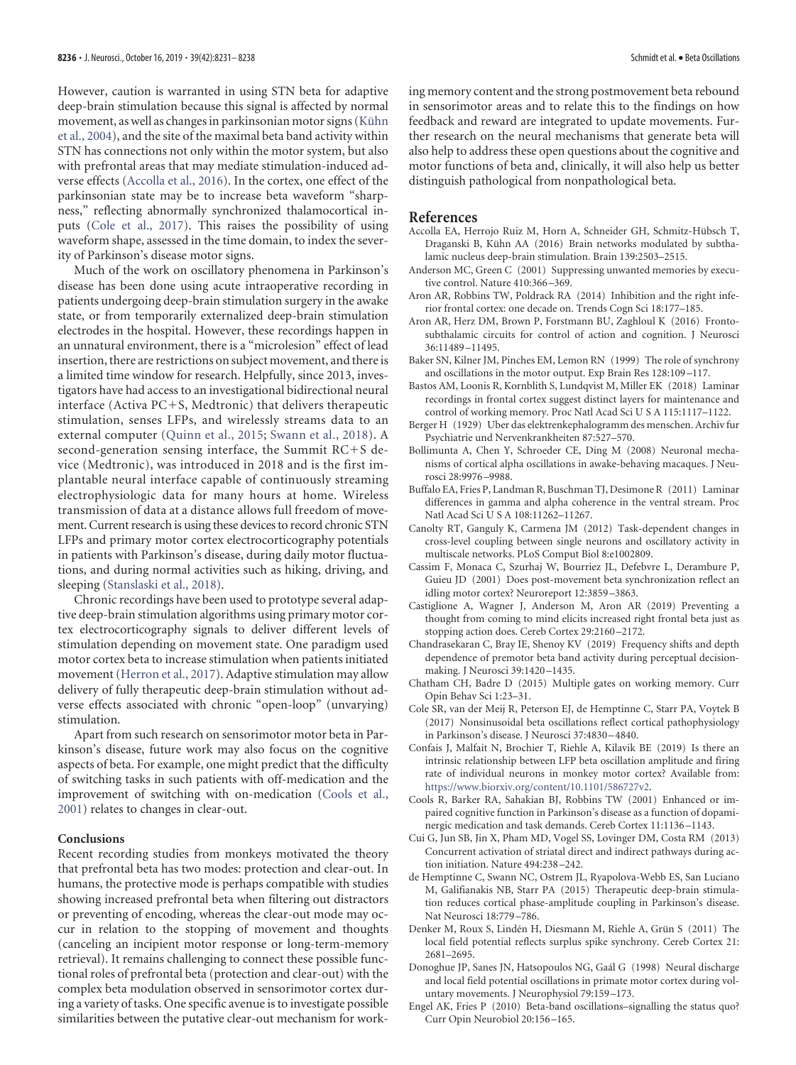However, caution is warranted in using STN beta for adaptive deep-brain stimulation because this signal is affected by normal movement, as well as changes in parkinsonian motor signs (Kühn [et al., 2004\)](#page-6-44), and the site of the maximal beta band activity within STN has connections not only within the motor system, but also with prefrontal areas that may mediate stimulation-induced adverse effects [\(Accolla et al., 2016\)](#page-5-19). In the cortex, one effect of the parkinsonian state may be to increase beta waveform "sharpness," reflecting abnormally synchronized thalamocortical inputs [\(Cole et al., 2017\)](#page-5-20). This raises the possibility of using waveform shape, assessed in the time domain, to index the severity of Parkinson's disease motor signs.

Much of the work on oscillatory phenomena in Parkinson's disease has been done using acute intraoperative recording in patients undergoing deep-brain stimulation surgery in the awake state, or from temporarily externalized deep-brain stimulation electrodes in the hospital. However, these recordings happen in an unnatural environment, there is a "microlesion" effect of lead insertion, there are restrictions on subject movement, and there is a limited time window for research. Helpfully, since 2013, investigators have had access to an investigational bidirectional neural interface (Activa  $PC+S$ , Medtronic) that delivers therapeutic stimulation, senses LFPs, and wirelessly streams data to an external computer [\(Quinn et al., 2015;](#page-6-45) [Swann et al., 2018\)](#page-7-23). A second-generation sensing interface, the Summit  $RC+S$  device (Medtronic), was introduced in 2018 and is the first implantable neural interface capable of continuously streaming electrophysiologic data for many hours at home. Wireless transmission of data at a distance allows full freedom of movement. Current research is using these devices to record chronic STN LFPs and primary motor cortex electrocorticography potentials in patients with Parkinson's disease, during daily motor fluctuations, and during normal activities such as hiking, driving, and sleeping [\(Stanslaski et al., 2018\)](#page-7-24).

Chronic recordings have been used to prototype several adaptive deep-brain stimulation algorithms using primary motor cortex electrocorticography signals to deliver different levels of stimulation depending on movement state. One paradigm used motor cortex beta to increase stimulation when patients initiated movement [\(Herron et al., 2017\)](#page-6-46). Adaptive stimulation may allow delivery of fully therapeutic deep-brain stimulation without adverse effects associated with chronic "open-loop" (unvarying) stimulation.

Apart from such research on sensorimotor motor beta in Parkinson's disease, future work may also focus on the cognitive aspects of beta. For example, one might predict that the difficulty of switching tasks in such patients with off-medication and the improvement of switching with on-medication [\(Cools et al.,](#page-5-21) [2001\)](#page-5-21) relates to changes in clear-out.

#### **Conclusions**

Recent recording studies from monkeys motivated the theory that prefrontal beta has two modes: protection and clear-out. In humans, the protective mode is perhaps compatible with studies showing increased prefrontal beta when filtering out distractors or preventing of encoding, whereas the clear-out mode may occur in relation to the stopping of movement and thoughts (canceling an incipient motor response or long-term-memory retrieval). It remains challenging to connect these possible functional roles of prefrontal beta (protection and clear-out) with the complex beta modulation observed in sensorimotor cortex during a variety of tasks. One specific avenue is to investigate possible similarities between the putative clear-out mechanism for working memory content and the strong postmovement beta rebound in sensorimotor areas and to relate this to the findings on how feedback and reward are integrated to update movements. Further research on the neural mechanisms that generate beta will also help to address these open questions about the cognitive and motor functions of beta and, clinically, it will also help us better distinguish pathological from nonpathological beta.

### **References**

- <span id="page-5-19"></span>Accolla EA, Herrojo Ruiz M, Horn A, Schneider GH, Schmitz-Hübsch T, Draganski B, Kühn AA (2016) Brain networks modulated by subthalamic nucleus deep-brain stimulation. Brain 139:2503–2515.
- <span id="page-5-6"></span>Anderson MC, Green C (2001) Suppressing unwanted memories by executive control. Nature 410:366 –369.
- <span id="page-5-3"></span>Aron AR, Robbins TW, Poldrack RA (2014) Inhibition and the right inferior frontal cortex: one decade on. Trends Cogn Sci 18:177–185.
- <span id="page-5-5"></span>Aron AR, Herz DM, Brown P, Forstmann BU, Zaghloul K (2016) Frontosubthalamic circuits for control of action and cognition. J Neurosci 36:11489 –11495.
- <span id="page-5-10"></span>Baker SN, Kilner JM, Pinches EM, Lemon RN (1999) The role of synchrony and oscillations in the motor output. Exp Brain Res 128:109 –117.
- <span id="page-5-2"></span>Bastos AM, Loonis R, Kornblith S, Lundqvist M, Miller EK (2018) Laminar recordings in frontal cortex suggest distinct layers for maintenance and control of working memory. Proc Natl Acad Sci U S A 115:1117–1122.
- <span id="page-5-0"></span>Berger H (1929) Uber das elektrenkephalogramm des menschen. Archiv fur Psychiatrie und Nervenkrankheiten 87:527–570.
- <span id="page-5-16"></span>Bollimunta A, Chen Y, Schroeder CE, Ding M (2008) Neuronal mechanisms of cortical alpha oscillations in awake-behaving macaques. J Neurosci 28:9976 –9988.
- <span id="page-5-17"></span>Buffalo EA, Fries P, Landman R, Buschman TJ, Desimone R (2011) Laminar differences in gamma and alpha coherence in the ventral stream. Proc Natl Acad Sci U S A 108:11262–11267.
- <span id="page-5-12"></span>Canolty RT, Ganguly K, Carmena JM (2012) Task-dependent changes in cross-level coupling between single neurons and oscillatory activity in multiscale networks. PLoS Comput Biol 8:e1002809.
- <span id="page-5-8"></span>Cassim F, Monaca C, Szurhaj W, Bourriez JL, Defebvre L, Derambure P, Guieu JD (2001) Does post-movement beta synchronization reflect an idling motor cortex? Neuroreport 12:3859 –3863.
- <span id="page-5-4"></span>Castiglione A, Wagner J, Anderson M, Aron AR (2019) Preventing a thought from coming to mind elicits increased right frontal beta just as stopping action does. Cereb Cortex 29:2160 –2172.
- <span id="page-5-14"></span>Chandrasekaran C, Bray IE, Shenoy KV (2019) Frequency shifts and depth dependence of premotor beta band activity during perceptual decisionmaking. J Neurosci 39:1420 –1435.
- <span id="page-5-7"></span>Chatham CH, Badre D (2015) Multiple gates on working memory. Curr Opin Behav Sci 1:23–31.
- <span id="page-5-20"></span>Cole SR, van der Meij R, Peterson EJ, de Hemptinne C, Starr PA, Voytek B (2017) Nonsinusoidal beta oscillations reflect cortical pathophysiology in Parkinson's disease. J Neurosci 37:4830 –4840.
- <span id="page-5-13"></span>Confais J, Malfait N, Brochier T, Riehle A, Kilavik BE (2019) Is there an intrinsic relationship between LFP beta oscillation amplitude and firing rate of individual neurons in monkey motor cortex? Available from: [https://www.biorxiv.org/content/10.1101/586727v2.](https://www.biorxiv.org/content/10.1101/586727v2)
- <span id="page-5-21"></span>Cools R, Barker RA, Sahakian BJ, Robbins TW (2001) Enhanced or impaired cognitive function in Parkinson's disease as a function of dopaminergic medication and task demands. Cereb Cortex 11:1136 –1143.
- <span id="page-5-15"></span>Cui G, Jun SB, Jin X, Pham MD, Vogel SS, Lovinger DM, Costa RM (2013) Concurrent activation of striatal direct and indirect pathways during action initiation. Nature 494:238 –242.
- <span id="page-5-18"></span>de Hemptinne C, Swann NC, Ostrem JL, Ryapolova-Webb ES, San Luciano M, Galifianakis NB, Starr PA (2015) Therapeutic deep-brain stimulation reduces cortical phase-amplitude coupling in Parkinson's disease. Nat Neurosci 18:779 –786.
- <span id="page-5-11"></span>Denker M, Roux S, Lindén H, Diesmann M, Riehle A, Grün S (2011) The local field potential reflects surplus spike synchrony. Cereb Cortex 21: 2681–2695.
- <span id="page-5-9"></span>Donoghue JP, Sanes JN, Hatsopoulos NG, Gaál G (1998) Neural discharge and local field potential oscillations in primate motor cortex during voluntary movements. J Neurophysiol 79:159 –173.
- <span id="page-5-1"></span>Engel AK, Fries P (2010) Beta-band oscillations–signalling the status quo? Curr Opin Neurobiol 20:156 –165.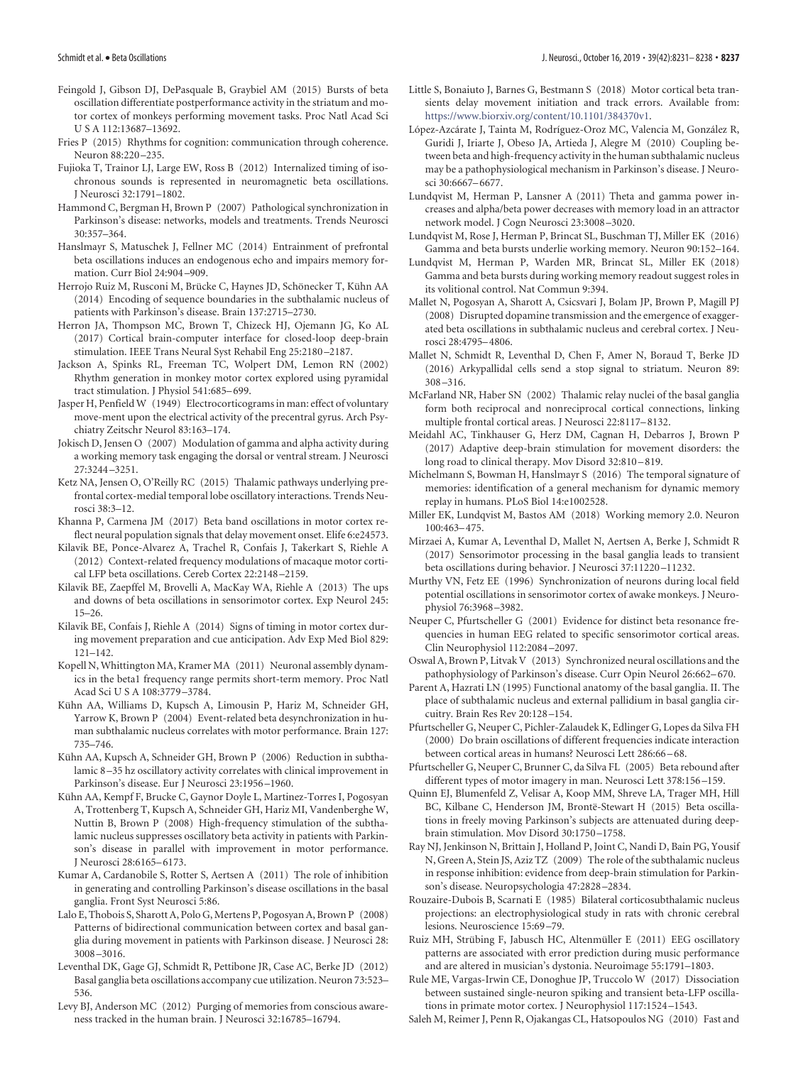- <span id="page-6-10"></span>Feingold J, Gibson DJ, DePasquale B, Graybiel AM (2015) Bursts of beta oscillation differentiate postperformance activity in the striatum and motor cortex of monkeys performing movement tasks. Proc Natl Acad Sci U S A 112:13687–13692.
- <span id="page-6-35"></span>Fries P (2015) Rhythms for cognition: communication through coherence. Neuron 88:220 –235.
- <span id="page-6-27"></span>Fujioka T, Trainor LJ, Large EW, Ross B (2012) Internalized timing of isochronous sounds is represented in neuromagnetic beta oscillations. J Neurosci 32:1791–1802.
- <span id="page-6-2"></span>Hammond C, Bergman H, Brown P (2007) Pathological synchronization in Parkinson's disease: networks, models and treatments. Trends Neurosci 30:357–364.
- <span id="page-6-7"></span>Hanslmayr S, Matuschek J, Fellner MC (2014) Entrainment of prefrontal beta oscillations induces an endogenous echo and impairs memory formation. Curr Biol 24:904 –909.
- <span id="page-6-9"></span>Herrojo Ruiz M, Rusconi M, Brücke C, Haynes JD, Schönecker T, Kühn AA (2014) Encoding of sequence boundaries in the subthalamic nucleus of patients with Parkinson's disease. Brain 137:2715–2730.
- <span id="page-6-46"></span>Herron JA, Thompson MC, Brown T, Chizeck HJ, Ojemann JG, Ko AL (2017) Cortical brain-computer interface for closed-loop deep-brain stimulation. IEEE Trans Neural Syst Rehabil Eng 25:2180 –2187.
- <span id="page-6-20"></span>Jackson A, Spinks RL, Freeman TC, Wolpert DM, Lemon RN (2002) Rhythm generation in monkey motor cortex explored using pyramidal tract stimulation. J Physiol 541:685–699.
- <span id="page-6-0"></span>Jasper H, Penfield W (1949) Electrocorticograms in man: effect of voluntary move-ment upon the electrical activity of the precentral gyrus. Arch Psychiatry Zeitschr Neurol 83:163–174.
- <span id="page-6-15"></span>Jokisch D, Jensen O (2007) Modulation of gamma and alpha activity during a working memory task engaging the dorsal or ventral stream. J Neurosci 27:3244 –3251.
- <span id="page-6-36"></span>Ketz NA, Jensen O, O'Reilly RC (2015) Thalamic pathways underlying prefrontal cortex-medial temporal lobe oscillatory interactions. Trends Neurosci 38:3–12.
- <span id="page-6-1"></span>Khanna P, Carmena JM (2017) Beta band oscillations in motor cortex reflect neural population signals that delay movement onset. Elife 6:e24573.
- <span id="page-6-14"></span>Kilavik BE, Ponce-Alvarez A, Trachel R, Confais J, Takerkart S, Riehle A (2012) Context-related frequency modulations of macaque motor cortical LFP beta oscillations. Cereb Cortex 22:2148 –2159.
- <span id="page-6-3"></span>Kilavik BE, Zaepffel M, Brovelli A, MacKay WA, Riehle A (2013) The ups and downs of beta oscillations in sensorimotor cortex. Exp Neurol 245: 15–26.
- <span id="page-6-28"></span>Kilavik BE, Confais J, Riehle A (2014) Signs of timing in motor cortex during movement preparation and cue anticipation. Adv Exp Med Biol 829: 121–142.
- <span id="page-6-22"></span>Kopell N, Whittington MA, Kramer MA (2011) Neuronal assembly dynamics in the beta1 frequency range permits short-term memory. Proc Natl Acad Sci U S A 108:3779 –3784.
- <span id="page-6-44"></span>Kühn AA, Williams D, Kupsch A, Limousin P, Hariz M, Schneider GH, Yarrow K, Brown P (2004) Event-related beta desynchronization in human subthalamic nucleus correlates with motor performance. Brain 127: 735–746.
- <span id="page-6-42"></span>Kühn AA, Kupsch A, Schneider GH, Brown P (2006) Reduction in subthalamic 8 –35 hz oscillatory activity correlates with clinical improvement in Parkinson's disease. Eur J Neurosci 23:1956 –1960.
- <span id="page-6-43"></span>Kühn AA, Kempf F, Brucke C, Gaynor Doyle L, Martinez-Torres I, Pogosyan A, Trottenberg T, Kupsch A, Schneider GH, Hariz MI, Vandenberghe W, Nuttin B, Brown P (2008) High-frequency stimulation of the subthalamic nucleus suppresses oscillatory beta activity in patients with Parkinson's disease in parallel with improvement in motor performance. J Neurosci 28:6165–6173.
- <span id="page-6-31"></span>Kumar A, Cardanobile S, Rotter S, Aertsen A (2011) The role of inhibition in generating and controlling Parkinson's disease oscillations in the basal ganglia. Front Syst Neurosci 5:86.
- <span id="page-6-39"></span>Lalo E, Thobois S, Sharott A, Polo G, Mertens P, Pogosyan A, Brown P (2008) Patterns of bidirectional communication between cortex and basal ganglia during movement in patients with Parkinson disease. J Neurosci 28: 3008 –3016.
- <span id="page-6-8"></span>Leventhal DK, Gage GJ, Schmidt R, Pettibone JR, Case AC, Berke JD (2012) Basal ganglia beta oscillations accompany cue utilization. Neuron 73:523– 536.
- <span id="page-6-16"></span>Levy BJ, Anderson MC (2012) Purging of memories from conscious awareness tracked in the human brain. J Neurosci 32:16785–16794.
- <span id="page-6-29"></span>Little S, Bonaiuto J, Barnes G, Bestmann S (2018) Motor cortical beta transients delay movement initiation and track errors. Available from: [https://www.biorxiv.org/content/10.1101/384370v1.](https://www.biorxiv.org/content/10.1101/384370v1)
- <span id="page-6-23"></span>López-Azcárate J, Tainta M, Rodríguez-Oroz MC, Valencia M, González R, Guridi J, Iriarte J, Obeso JA, Artieda J, Alegre M (2010) Coupling between beta and high-frequency activity in the human subthalamic nucleus may be a pathophysiological mechanism in Parkinson's disease. J Neurosci 30:6667–6677.
- <span id="page-6-11"></span>Lundqvist M, Herman P, Lansner A (2011) Theta and gamma power increases and alpha/beta power decreases with memory load in an attractor network model. J Cogn Neurosci 23:3008 –3020.
- <span id="page-6-5"></span>Lundqvist M, Rose J, Herman P, Brincat SL, Buschman TJ, Miller EK (2016) Gamma and beta bursts underlie working memory. Neuron 90:152–164.
- <span id="page-6-12"></span>Lundqvist M, Herman P, Warden MR, Brincat SL, Miller EK (2018) Gamma and beta bursts during working memory readout suggest roles in its volitional control. Nat Commun 9:394.
- <span id="page-6-30"></span>Mallet N, Pogosyan A, Sharott A, Csicsvari J, Bolam JP, Brown P, Magill PJ (2008) Disrupted dopamine transmission and the emergence of exaggerated beta oscillations in subthalamic nucleus and cerebral cortex. J Neurosci 28:4795–4806.
- <span id="page-6-34"></span>Mallet N, Schmidt R, Leventhal D, Chen F, Amer N, Boraud T, Berke JD (2016) Arkypallidal cells send a stop signal to striatum. Neuron 89: 308 –316.
- <span id="page-6-38"></span>McFarland NR, Haber SN (2002) Thalamic relay nuclei of the basal ganglia form both reciprocal and nonreciprocal cortical connections, linking multiple frontal cortical areas. J Neurosci 22:8117–8132.
- <span id="page-6-41"></span>Meidahl AC, Tinkhauser G, Herz DM, Cagnan H, Debarros J, Brown P (2017) Adaptive deep-brain stimulation for movement disorders: the long road to clinical therapy. Mov Disord 32:810-819.
- <span id="page-6-17"></span>Michelmann S, Bowman H, Hanslmayr S (2016) The temporal signature of memories: identification of a general mechanism for dynamic memory replay in humans. PLoS Biol 14:e1002528.
- <span id="page-6-6"></span>Miller EK, Lundqvist M, Bastos AM (2018) Working memory 2.0. Neuron 100:463–475.
- <span id="page-6-33"></span>Mirzaei A, Kumar A, Leventhal D, Mallet N, Aertsen A, Berke J, Schmidt R (2017) Sensorimotor processing in the basal ganglia leads to transient beta oscillations during behavior. J Neurosci 37:11220 –11232.
- <span id="page-6-19"></span>Murthy VN, Fetz EE (1996) Synchronization of neurons during local field potential oscillations in sensorimotor cortex of awake monkeys. J Neurophysiol 76:3968 –3982.
- <span id="page-6-25"></span>Neuper C, Pfurtscheller G (2001) Evidence for distinct beta resonance frequencies in human EEG related to specific sensorimotor cortical areas. Clin Neurophysiol 112:2084 –2097.
- <span id="page-6-40"></span>Oswal A, Brown P, Litvak V (2013) Synchronized neural oscillations and the pathophysiology of Parkinson's disease. Curr Opin Neurol 26:662–670.
- <span id="page-6-32"></span>Parent A, Hazrati LN (1995) Functional anatomy of the basal ganglia. II. The place of subthalamic nucleus and external pallidium in basal ganglia circuitry. Brain Res Rev 20:128 –154.
- <span id="page-6-24"></span>Pfurtscheller G, Neuper C, Pichler-Zalaudek K, Edlinger G, Lopes da Silva FH (2000) Do brain oscillations of different frequencies indicate interaction between cortical areas in humans? Neurosci Lett 286:66 –68.
- <span id="page-6-18"></span>Pfurtscheller G, Neuper C, Brunner C, da Silva FL (2005) Beta rebound after different types of motor imagery in man. Neurosci Lett 378:156 –159.
- <span id="page-6-45"></span>Quinn EJ, Blumenfeld Z, Velisar A, Koop MM, Shreve LA, Trager MH, Hill BC, Kilbane C, Henderson JM, Brontë-Stewart H (2015) Beta oscillations in freely moving Parkinson's subjects are attenuated during deepbrain stimulation. Mov Disord 30:1750 –1758.
- <span id="page-6-13"></span>Ray NJ, Jenkinson N, Brittain J, Holland P, Joint C, Nandi D, Bain PG, Yousif N, Green A, Stein JS, Aziz TZ (2009) The role of the subthalamic nucleus in response inhibition: evidence from deep-brain stimulation for Parkinson's disease. Neuropsychologia 47:2828 –2834.
- <span id="page-6-37"></span>Rouzaire-Dubois B, Scarnati E (1985) Bilateral corticosubthalamic nucleus projections: an electrophysiological study in rats with chronic cerebral lesions. Neuroscience 15:69 –79.
- <span id="page-6-4"></span>Ruiz MH, Strübing F, Jabusch HC, Altenmüller E (2011) EEG oscillatory patterns are associated with error prediction during music performance and are altered in musician's dystonia. Neuroimage 55:1791–1803.
- <span id="page-6-21"></span>Rule ME, Vargas-Irwin CE, Donoghue JP, Truccolo W (2017) Dissociation between sustained single-neuron spiking and transient beta-LFP oscillations in primate motor cortex. J Neurophysiol 117:1524 –1543.
- <span id="page-6-26"></span>Saleh M, Reimer J, Penn R, Ojakangas CL, Hatsopoulos NG (2010) Fast and